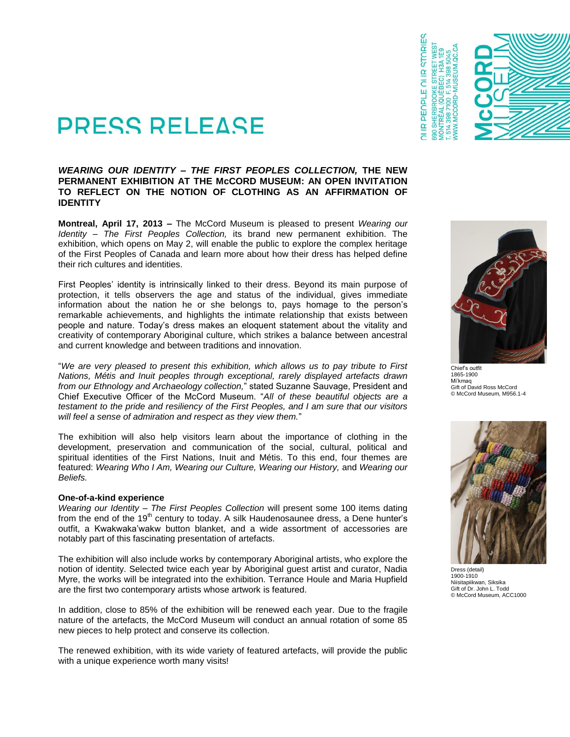

# *WEARING OUR IDENTITY – THE FIRST PEOPLES COLLECTION,* **THE NEW PERMANENT EXHIBITION AT THE McCORD MUSEUM: AN OPEN INVITATION TO REFLECT ON THE NOTION OF CLOTHING AS AN AFFIRMATION OF IDENTITY**

**Montreal, April 17, 2013 –** The McCord Museum is pleased to present *Wearing our Identity – The First Peoples Collection,* its brand new permanent exhibition. The exhibition, which opens on May 2, will enable the public to explore the complex heritage of the First Peoples of Canada and learn more about how their dress has helped define their rich cultures and identities.

First Peoples' identity is intrinsically linked to their dress. Beyond its main purpose of protection, it tells observers the age and status of the individual, gives immediate information about the nation he or she belongs to, pays homage to the person's remarkable achievements, and highlights the intimate relationship that exists between people and nature. Today's dress makes an eloquent statement about the vitality and creativity of contemporary Aboriginal culture, which strikes a balance between ancestral and current knowledge and between traditions and innovation.

"*We are very pleased to present this exhibition, which allows us to pay tribute to First Nations, Métis and Inuit peoples through exceptional, rarely displayed artefacts drawn from our Ethnology and Archaeology collection,*" stated Suzanne Sauvage, President and Chief Executive Officer of the McCord Museum. "*All of these beautiful objects are a testament to the pride and resiliency of the First Peoples, and I am sure that our visitors will feel a sense of admiration and respect as they view them.*"

The exhibition will also help visitors learn about the importance of clothing in the development, preservation and communication of the social, cultural, political and spiritual identities of the First Nations, Inuit and Métis. To this end, four themes are featured: *Wearing Who I Am, Wearing our Culture, Wearing our History,* and *Wearing our Beliefs.*

#### **One-of-a-kind experience**

*Wearing our Identity – The First Peoples Collection* will present some 100 items dating from the end of the  $19<sup>th</sup>$  century to today. A silk Haudenosaunee dress, a Dene hunter's outfit, a Kwakwaka'wakw button blanket, and a wide assortment of accessories are notably part of this fascinating presentation of artefacts.

The exhibition will also include works by contemporary Aboriginal artists, who explore the notion of identity. Selected twice each year by Aboriginal guest artist and curator, Nadia Myre, the works will be integrated into the exhibition. Terrance Houle and Maria Hupfield are the first two contemporary artists whose artwork is featured.

In addition, close to 85% of the exhibition will be renewed each year. Due to the fragile nature of the artefacts, the McCord Museum will conduct an annual rotation of some 85 new pieces to help protect and conserve its collection.

The renewed exhibition, with its wide variety of featured artefacts, will provide the public with a unique experience worth many visits!



**IR PEOPLE OI IR STORIES** 

690



Chief's outfit 1865-1900 Mi'kmaq Gift of David Ross McCord © McCord Museum, M956.1-4



Dress (detail) 1900-1910 Niisitapiikwan, Siksika Gift of Dr. John L. Todd © McCord Museum, ACC1000